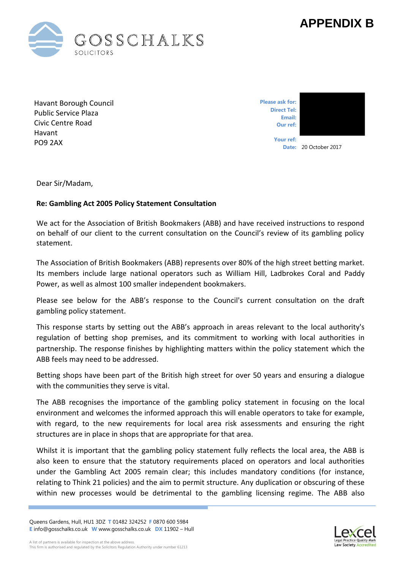

Havant Borough Council Public Service Plaza Civic Centre Road Havant PO9 2AX

**Please ask for: Direct Tel: Email: Our ref:**



**Your ref: Date:** 20 October 2017

Dear Sir/Madam,

### **Re: Gambling Act 2005 Policy Statement Consultation**

We act for the Association of British Bookmakers (ABB) and have received instructions to respond on behalf of our client to the current consultation on the Council's review of its gambling policy statement.

The Association of British Bookmakers (ABB) represents over 80% of the high street betting market. Its members include large national operators such as William Hill, Ladbrokes Coral and Paddy Power, as well as almost 100 smaller independent bookmakers.

Please see below for the ABB's response to the Council's current consultation on the draft gambling policy statement.

This response starts by setting out the ABB's approach in areas relevant to the local authority's regulation of betting shop premises, and its commitment to working with local authorities in partnership. The response finishes by highlighting matters within the policy statement which the ABB feels may need to be addressed.

Betting shops have been part of the British high street for over 50 years and ensuring a dialogue with the communities they serve is vital.

The ABB recognises the importance of the gambling policy statement in focusing on the local environment and welcomes the informed approach this will enable operators to take for example, with regard, to the new requirements for local area risk assessments and ensuring the right structures are in place in shops that are appropriate for that area.

Whilst it is important that the gambling policy statement fully reflects the local area, the ABB is also keen to ensure that the statutory requirements placed on operators and local authorities under the Gambling Act 2005 remain clear; this includes mandatory conditions (for instance, relating to Think 21 policies) and the aim to permit structure. Any duplication or obscuring of these within new processes would be detrimental to the gambling licensing regime. The ABB also

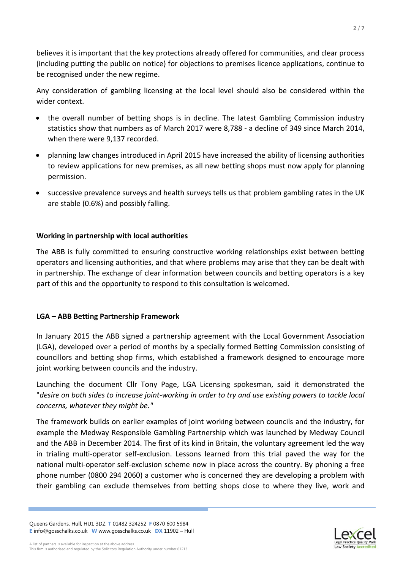believes it is important that the key protections already offered for communities, and clear process (including putting the public on notice) for objections to premises licence applications, continue to be recognised under the new regime.

Any consideration of gambling licensing at the local level should also be considered within the wider context.

- the overall number of betting shops is in decline. The latest Gambling Commission industry statistics show that numbers as of March 2017 were 8,788 - a decline of 349 since March 2014, when there were 9,137 recorded.
- planning law changes introduced in April 2015 have increased the ability of licensing authorities to review applications for new premises, as all new betting shops must now apply for planning permission.
- successive prevalence surveys and health surveys tells us that problem gambling rates in the UK are stable (0.6%) and possibly falling.

# **Working in partnership with local authorities**

The ABB is fully committed to ensuring constructive working relationships exist between betting operators and licensing authorities, and that where problems may arise that they can be dealt with in partnership. The exchange of clear information between councils and betting operators is a key part of this and the opportunity to respond to this consultation is welcomed.

## **LGA – ABB Betting Partnership Framework**

In January 2015 the ABB signed a partnership agreement with the Local Government Association (LGA), developed over a period of months by a specially formed Betting Commission consisting of councillors and betting shop firms, which established a framework designed to encourage more joint working between councils and the industry.

Launching the document Cllr Tony Page, LGA Licensing spokesman, said it demonstrated the "desire on both sides to increase joint-working in order to try and use existing powers to tackle local *concerns, whatever they might be."*

The framework builds on earlier examples of joint working between councils and the industry, for example the Medway Responsible Gambling Partnership which was launched by Medway Council and the ABB in December 2014. The first of its kind in Britain, the voluntary agreement led the way in trialing multi-operator self-exclusion. Lessons learned from this trial paved the way for the national multi-operator self-exclusion scheme now in place across the country. By phoning a free phone number (0800 294 2060) a customer who is concerned they are developing a problem with their gambling can exclude themselves from betting shops close to where they live, work and



**2** / **7**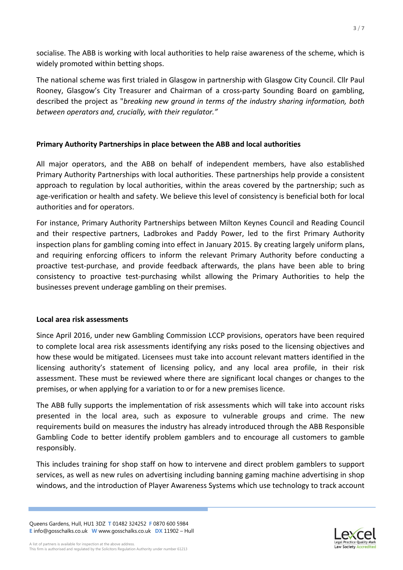socialise. The ABB is working with local authorities to help raise awareness of the scheme, which is widely promoted within betting shops.

The national scheme was first trialed in Glasgow in partnership with Glasgow City Council. Cllr Paul Rooney, Glasgow's City Treasurer and Chairman of a cross-party Sounding Board on gambling, described the project as "*breaking new ground in terms of the industry sharing information, both between operators and, crucially, with their regulator."*

# **Primary Authority Partnerships in place between the ABB and local authorities**

All major operators, and the ABB on behalf of independent members, have also established Primary Authority Partnerships with local authorities. These partnerships help provide a consistent approach to regulation by local authorities, within the areas covered by the partnership; such as age-verification or health and safety. We believe this level of consistency is beneficial both for local authorities and for operators.

For instance, Primary Authority Partnerships between Milton Keynes Council and Reading Council and their respective partners, Ladbrokes and Paddy Power, led to the first Primary Authority inspection plans for gambling coming into effect in January 2015. By creating largely uniform plans, and requiring enforcing officers to inform the relevant Primary Authority before conducting a proactive test-purchase, and provide feedback afterwards, the plans have been able to bring consistency to proactive test-purchasing whilst allowing the Primary Authorities to help the businesses prevent underage gambling on their premises.

## **Local area risk assessments**

Since April 2016, under new Gambling Commission LCCP provisions, operators have been required to complete local area risk assessments identifying any risks posed to the licensing objectives and how these would be mitigated. Licensees must take into account relevant matters identified in the licensing authority's statement of licensing policy, and any local area profile, in their risk assessment. These must be reviewed where there are significant local changes or changes to the premises, or when applying for a variation to or for a new premises licence.

The ABB fully supports the implementation of risk assessments which will take into account risks presented in the local area, such as exposure to vulnerable groups and crime. The new requirements build on measures the industry has already introduced through the ABB Responsible Gambling Code to better identify problem gamblers and to encourage all customers to gamble responsibly.

This includes training for shop staff on how to intervene and direct problem gamblers to support services, as well as new rules on advertising including banning gaming machine advertising in shop windows, and the introduction of Player Awareness Systems which use technology to track account

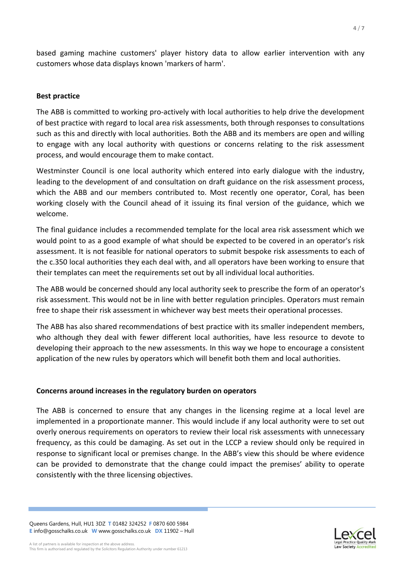based gaming machine customers' player history data to allow earlier intervention with any customers whose data displays known 'markers of harm'.

#### **Best practice**

The ABB is committed to working pro-actively with local authorities to help drive the development of best practice with regard to local area risk assessments, both through responses to consultations such as this and directly with local authorities. Both the ABB and its members are open and willing to engage with any local authority with questions or concerns relating to the risk assessment process, and would encourage them to make contact.

Westminster Council is one local authority which entered into early dialogue with the industry, leading to the development of and consultation on draft guidance on the risk assessment process, which the ABB and our members contributed to. Most recently one operator, Coral, has been working closely with the Council ahead of it issuing its final version of the guidance, which we welcome.

The final guidance includes a recommended template for the local area risk assessment which we would point to as a good example of what should be expected to be covered in an operator's risk assessment. It is not feasible for national operators to submit bespoke risk assessments to each of the c.350 local authorities they each deal with, and all operators have been working to ensure that their templates can meet the requirements set out by all individual local authorities.

The ABB would be concerned should any local authority seek to prescribe the form of an operator's risk assessment. This would not be in line with better regulation principles. Operators must remain free to shape their risk assessment in whichever way best meets their operational processes.

The ABB has also shared recommendations of best practice with its smaller independent members, who although they deal with fewer different local authorities, have less resource to devote to developing their approach to the new assessments. In this way we hope to encourage a consistent application of the new rules by operators which will benefit both them and local authorities.

#### **Concerns around increases in the regulatory burden on operators**

The ABB is concerned to ensure that any changes in the licensing regime at a local level are implemented in a proportionate manner. This would include if any local authority were to set out overly onerous requirements on operators to review their local risk assessments with unnecessary frequency, as this could be damaging. As set out in the LCCP a review should only be required in response to significant local or premises change. In the ABB's view this should be where evidence can be provided to demonstrate that the change could impact the premises' ability to operate consistently with the three licensing objectives.

Queens Gardens, Hull, HU1 3DZ. **T** 01482 324252. **F** 0870 600 5984 **E** info@gosschalks.co.uk. **W** www.gosschalks.co.uk. **DX** 11902 – Hull



**4** / **7**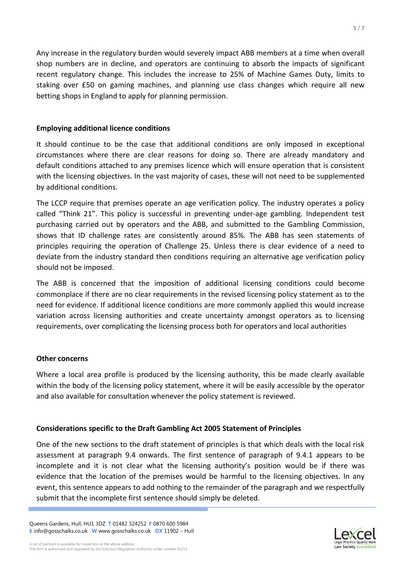Any increase in the regulatory burden would severely impact ABB members at a time when overall shop numbers are in decline, and operators are continuing to absorb the impacts of significant recent regulatory change. This includes the increase to 25% of Machine Games Duty, limits to staking over £50 on gaming machines, and planning use class changes which require all new betting shops in England to apply for planning permission.

#### **Employing additional licence conditions**

It should continue to be the case that additional conditions are only imposed in exceptional circumstances where there are clear reasons for doing so. There are already mandatory and default conditions attached to any premises licence which will ensure operation that is consistent with the licensing objectives. In the vast majority of cases, these will not need to be supplemented by additional conditions.

The LCCP require that premises operate an age verification policy. The industry operates a policy called "Think 21". This policy is successful in preventing under-age gambling. Independent test purchasing carried out by operators and the ABB, and submitted to the Gambling Commission, shows that ID challenge rates are consistently around 85%. The ABB has seen statements of principles requiring the operation of Challenge 25. Unless there is clear evidence of a need to deviate from the industry standard then conditions requiring an alternative age verification policy should not be imposed.

The ABB is concerned that the imposition of additional licensing conditions could become commonplace if there are no clear requirements in the revised licensing policy statement as to the need for evidence. If additional licence conditions are more commonly applied this would increase variation across licensing authorities and create uncertainty amongst operators as to licensing requirements, over complicating the licensing process both for operators and local authorities

## **Other concerns**

Where a local area profile is produced by the licensing authority, this be made clearly available within the body of the licensing policy statement, where it will be easily accessible by the operator and also available for consultation whenever the policy statement is reviewed.

#### **Considerations specific to the Draft Gambling Act 2005 Statement of Principles**

One of the new sections to the draft statement of principles is that which deals with the local risk assessment at paragraph 9.4 onwards. The first sentence of paragraph of 9.4.1 appears to be incomplete and it is not clear what the licensing authority's position would be if there was evidence that the location of the premises would be harmful to the licensing objectives. In any event, this sentence appears to add nothing to the remainder of the paragraph and we respectfully submit that the incomplete first sentence should simply be deleted.

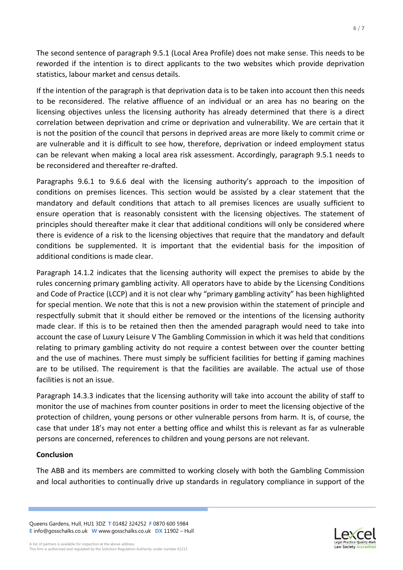The second sentence of paragraph 9.5.1 (Local Area Profile) does not make sense. This needs to be reworded if the intention is to direct applicants to the two websites which provide deprivation statistics, labour market and census details.

If the intention of the paragraph is that deprivation data is to be taken into account then this needs to be reconsidered. The relative affluence of an individual or an area has no bearing on the licensing objectives unless the licensing authority has already determined that there is a direct correlation between deprivation and crime or deprivation and vulnerability. We are certain that it is not the position of the council that persons in deprived areas are more likely to commit crime or are vulnerable and it is difficult to see how, therefore, deprivation or indeed employment status can be relevant when making a local area risk assessment. Accordingly, paragraph 9.5.1 needs to be reconsidered and thereafter re-drafted.

Paragraphs 9.6.1 to 9.6.6 deal with the licensing authority's approach to the imposition of conditions on premises licences. This section would be assisted by a clear statement that the mandatory and default conditions that attach to all premises licences are usually sufficient to ensure operation that is reasonably consistent with the licensing objectives. The statement of principles should thereafter make it clear that additional conditions will only be considered where there is evidence of a risk to the licensing objectives that require that the mandatory and default conditions be supplemented. It is important that the evidential basis for the imposition of additional conditions is made clear.

Paragraph 14.1.2 indicates that the licensing authority will expect the premises to abide by the rules concerning primary gambling activity. All operators have to abide by the Licensing Conditions and Code of Practice (LCCP) and it is not clear why "primary gambling activity" has been highlighted for special mention. We note that this is not a new provision within the statement of principle and respectfully submit that it should either be removed or the intentions of the licensing authority made clear. If this is to be retained then then the amended paragraph would need to take into account the case of Luxury Leisure V The Gambling Commission in which it was held that conditions relating to primary gambling activity do not require a contest between over the counter betting and the use of machines. There must simply be sufficient facilities for betting if gaming machines are to be utilised. The requirement is that the facilities are available. The actual use of those facilities is not an issue.

Paragraph 14.3.3 indicates that the licensing authority will take into account the ability of staff to monitor the use of machines from counter positions in order to meet the licensing objective of the protection of children, young persons or other vulnerable persons from harm. It is, of course, the case that under 18's may not enter a betting office and whilst this is relevant as far as vulnerable persons are concerned, references to children and young persons are not relevant.

#### **Conclusion**

The ABB and its members are committed to working closely with both the Gambling Commission and local authorities to continually drive up standards in regulatory compliance in support of the